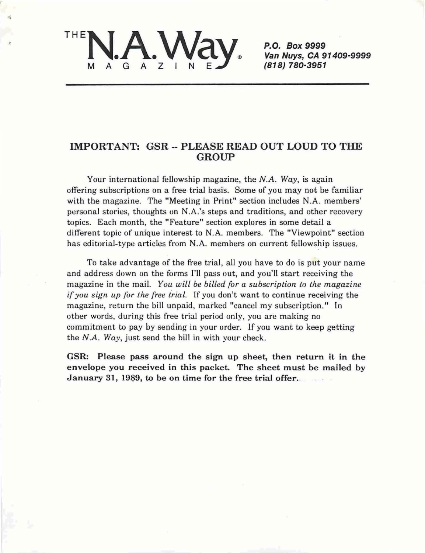

P.O. Box 9999 Van Nuys, CA 91409-9999 (818) 780-3951

## IMPORTANT: GSR - PLEASE READ OUT LOUD TO THE GROUP

Your international fellowship magazine, the *N.A. Way,* is again offering subscriptions on a free trial basis. Some of you may not be familiar with the magazine. The "Meeting in Print" section includes N.A. members' personal stories, thoughts on N .A.'s steps and traditions, and other recovery topics. Each month, the "Feature" section explores in some detail a different topic of unique interest to N.A. members. The "Viewpoint" section has editorial-type articles from N.A. members on current fellowship issues.

To take advantage of the free trial, all you have to do is put your name and address down on the forms I'll pass out, and you'll start receiving the magazine in the mail. *You will be billed for* a *subscription* to the *magazine if you sign up for the free trial.* If you don't want to continue receiving the magazine, return the bill unpaid, marked "cancel my subscription." In other words, during this free trial period only, you are making no commitment to pay by sending in your order. If you want to keep getting the *N.A. Way,* just send the bill in with your check.

GSR: Please pass around the sign up sheet, then return it in the envelope you received in this packet. The sheet must be mailed by January 31, 1989, to be on time for the free trial offer.